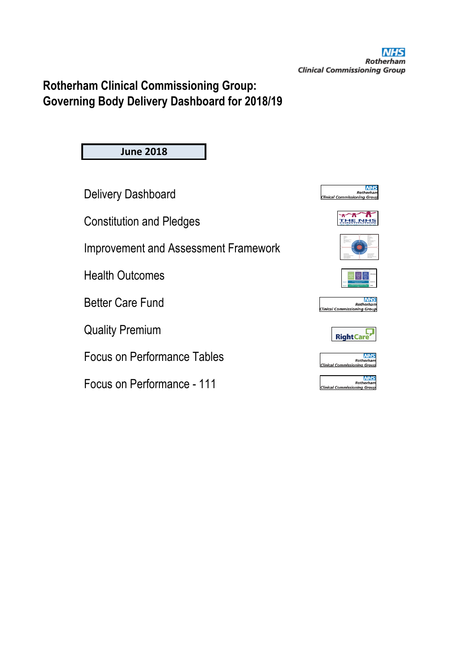# **Rotherham Clinical Commissioning Group: Governing Body Delivery Dashboard for 2018/19**

**June 2018**

Delivery Dashboard

Constitution and Pledges

Improvement and Assessment Framework

Health Outcomes

Better Care Fund

Quality Premium

Focus on Performance Tables

Focus on Performance - 111









**NHS** Roth **Clinical Cor** nina Gro





| <b>NHS</b>                          |
|-------------------------------------|
| Rotherham                           |
| <b>Clinical Commissioning Group</b> |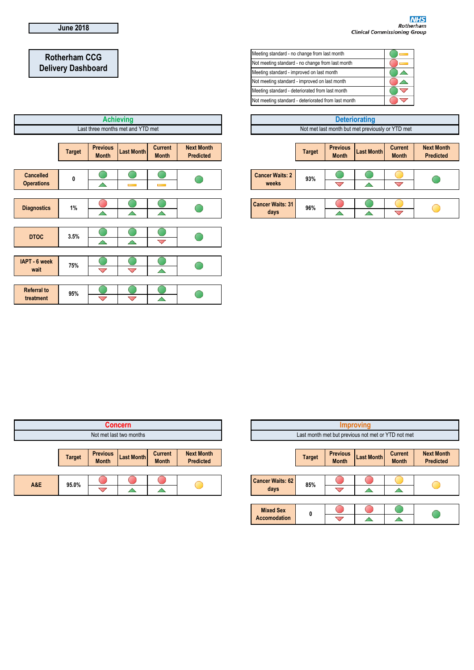<mark>NHS</mark><br>Rotherham<br>Clinical Commissioning Group

# **Rotherham CCG Delivery Dashboard**

|                                       |                                   |                                 | <b>Achieving</b>   |                                |                                       |                                 |  |
|---------------------------------------|-----------------------------------|---------------------------------|--------------------|--------------------------------|---------------------------------------|---------------------------------|--|
|                                       | Last three months met and YTD met |                                 |                    |                                |                                       |                                 |  |
|                                       | <b>Target</b>                     | <b>Previous</b><br><b>Month</b> | <b>Last Month</b>  | <b>Current</b><br><b>Month</b> | <b>Next Month</b><br><b>Predicted</b> |                                 |  |
| <b>Cancelled</b><br><b>Operations</b> | 0                                 | △                               | <b>Contract</b>    | <b>Contract</b>                |                                       | <b>Cancer Waits: 2</b><br>weeks |  |
| <b>Diagnostics</b>                    | 1%                                | $\blacktriangle$                | $\triangle$        | $\triangle$                    |                                       | <b>Cancer Waits: 31</b><br>days |  |
| <b>DTOC</b>                           | 3.5%                              | △                               | △                  | $\blacktriangledown$           |                                       |                                 |  |
| IAPT - 6 week<br>wait                 | 75%                               | $\bigtriangledown$              | $\bigtriangledown$ | $\triangle$                    |                                       |                                 |  |
| <b>Referral to</b>                    | 95%                               |                                 |                    |                                |                                       |                                 |  |
| treatment                             |                                   | $\bigtriangledown$              | $\bigtriangledown$ |                                |                                       |                                 |  |

| Meeting standard - no change from last month        |  |
|-----------------------------------------------------|--|
| Not meeting standard - no change from last month    |  |
| Meeting standard - improved on last month           |  |
| Not meeting standard - improved on last month       |  |
| Meeting standard - deteriorated from last month     |  |
| Not meeting standard - deteriorated from last month |  |

| <b>Deteriorating</b>    |               |                                 |                                                  |                                |                                       |  |
|-------------------------|---------------|---------------------------------|--------------------------------------------------|--------------------------------|---------------------------------------|--|
|                         |               |                                 | Not met last month but met previously or YTD met |                                |                                       |  |
|                         |               |                                 |                                                  |                                |                                       |  |
|                         | <b>Target</b> | <b>Previous</b><br><b>Month</b> | <b>Last Month</b>                                | <b>Current</b><br><b>Month</b> | <b>Next Month</b><br><b>Predicted</b> |  |
|                         |               |                                 |                                                  |                                |                                       |  |
| <b>Cancer Waits: 2</b>  | 93%           |                                 |                                                  |                                |                                       |  |
| weeks                   |               |                                 |                                                  | $\overline{\phantom{0}}$       |                                       |  |
|                         |               |                                 |                                                  |                                |                                       |  |
| <b>Cancer Waits: 31</b> | 96%           |                                 |                                                  |                                |                                       |  |
| days                    |               |                                 |                                                  |                                |                                       |  |

| <b>Concern</b> |               |                                 |                         |                                |                                       |
|----------------|---------------|---------------------------------|-------------------------|--------------------------------|---------------------------------------|
|                |               |                                 | Not met last two months |                                |                                       |
|                |               |                                 |                         |                                |                                       |
|                | <b>Target</b> | <b>Previous</b><br><b>Month</b> | <b>Last Month</b>       | <b>Current</b><br><b>Month</b> | <b>Next Month</b><br><b>Predicted</b> |
|                |               |                                 |                         |                                |                                       |
| A&E            | 95.0%         |                                 |                         |                                |                                       |
|                |               |                                 |                         |                                |                                       |

| <b>Improving</b><br>Last month met but previous not met or YTD not met |               |                                 |                   |                                |                                       |
|------------------------------------------------------------------------|---------------|---------------------------------|-------------------|--------------------------------|---------------------------------------|
|                                                                        | <b>Target</b> | <b>Previous</b><br><b>Month</b> | <b>Last Month</b> | <b>Current</b><br><b>Month</b> | <b>Next Month</b><br><b>Predicted</b> |
| <b>Cancer Waits: 62</b><br>days                                        | 85%           |                                 |                   |                                |                                       |
| <b>Mixed Sex</b><br><b>Accomodation</b>                                | 0             |                                 |                   |                                |                                       |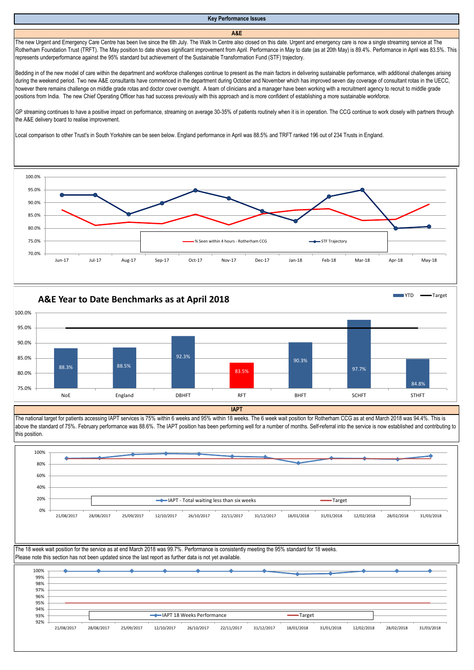# **Key Performance Issues**

#### **A&E**

The new Urgent and Emergency Care Centre has been live since the 6th July. The Walk In Centre also closed on this date. Urgent and emergency care is now a single streaming service at The Rotherham Foundation Trust (TRFT). The May position to date shows significant improvement from April. Performance in May to date (as at 20th May) is 89.4%. Performance in April was 83.5%. This represents underperformance against the 95% standard but achievement of the Sustainable Transformation Fund (STF) trajectory.

Bedding in of the new model of care within the department and workforce challenges continue to present as the main factors in delivering sustainable performance, with additional challenges arising during the weekend period. Two new A&E consultants have commenced in the department during October and November which has improved seven day coverage of consultant rotas in the UECC, however there remains challenge on middle grade rotas and doctor cover overnight. A team of clinicians and a manager have been working with a recruitment agency to recruit to middle grade positions from India. The new Chief Operating Officer has had success previously with this approach and is more confident of establishing a more sustainable workforce.

GP streaming continues to have a positive impact on performance, streaming on average 30-35% of patients routinely when it is in operation. The CCG continue to work closely with partners through the A&E delivery board to realise improvement.

Local comparison to other Trust's in South Yorkshire can be seen below. England performance in April was 88.5% and TRFT ranked 196 out of 234 Trusts in England.





The national target for patients accessing IAPT services is 75% within 6 weeks and 95% within 18 weeks. The 6 week wait position for Rotherham CCG as at end March 2018 was 94.4%. This is above the standard of 75%. February performance was 88.6%. The IAPT position has been performing well for a number of months. Self-referral into the service is now established and contributing to this position.

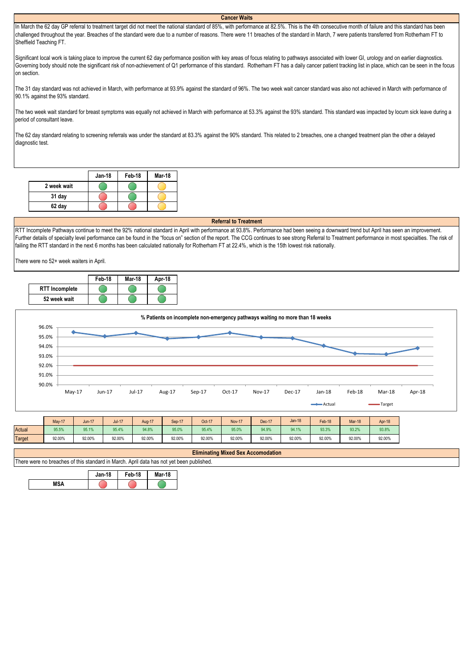## **Cancer Waits**

In March the 62 day GP referral to treatment target did not meet the national standard of 85%, with performance at 82.5%. This is the 4th consecutive month of failure and this standard has been challenged throughout the year. Breaches of the standard were due to a number of reasons. There were 11 breaches of the standard in March, 7 were patients transferred from Rotherham FT to Sheffield Teaching FT.

Significant local work is taking place to improve the current 62 day performance position with key areas of focus relating to pathways associated with lower GI, urology and on earlier diagnostics. Governing body should note the significant risk of non-achievement of Q1 performance of this standard. Rotherham FT has a daily cancer patient tracking list in place, which can be seen in the focus on section.

The 31 day standard was not achieved in March, with performance at 93.9% against the standard of 96%. The two week wait cancer standard was also not achieved in March with performance of 90.1% against the 93% standard.

The two week wait standard for breast symptoms was equally not achieved in March with performance at 53.3% against the 93% standard. This standard was impacted by locum sick leave during a period of consultant leave.

The 62 day standard relating to screening referrals was under the standard at 83.3% against the 90% standard. This related to 2 breaches, one a changed treatment plan the other a delayed diagnostic test.

|             | <b>Jan-18</b> | Feb-18 | Mar-18 |
|-------------|---------------|--------|--------|
| 2 week wait |               |        |        |
| 31 day      |               |        |        |
| 62 day      |               |        |        |

#### **Referral to Treatment**

RTT Incomplete Pathways continue to meet the 92% national standard in April with performance at 93.8%. Performance had been seeing a downward trend but April has seen an improvement. Further details of specialty level performance can be found in the "focus on" section of the report. The CCG continues to see strong Referral to Treatment performance in most specialties. The risk of failing the RTT standard in the next 6 months has been calculated nationally for Rotherham FT at 22.4%, which is the 15th lowest risk nationally.

There were no 52+ week waiters in April.





|               | May-17 | $Jun-17$ | <b>Jul-17</b> | <b>Aug-17</b> | Sep-17 | Oct-17 | <b>Nov-17</b> | Dec-17 | Jan-18 | Feb-18 | Mar-18 | Apr-18 |
|---------------|--------|----------|---------------|---------------|--------|--------|---------------|--------|--------|--------|--------|--------|
| <b>Actual</b> | 95.5%  | 95.1%    | 95.4%         | 94.8%         | 95.0%  | 95.4%  | 95.0%         | 94.9%  | 94.1%  | 93.3%  | 93.2%  | 93.8%  |
| <b>Target</b> | 92.00% | 92.00%   | 92.00%        | 92.00%        | 92.00% | 92.00% | 92.00%        | 92.00% | 92.00% | 92.00% | 92.00% | 92.00% |

| <b>Eliminating Mixed Sex</b><br>ا Accomodation                                                    |  |  |  |
|---------------------------------------------------------------------------------------------------|--|--|--|
| There were no b<br>: yet been published.<br>breaches of this standard in March<br>data<br>ካas not |  |  |  |
|                                                                                                   |  |  |  |

|     | <b>Jan-18</b> | Feb-18 | <b>Mar-18</b> |
|-----|---------------|--------|---------------|
| MSA |               |        |               |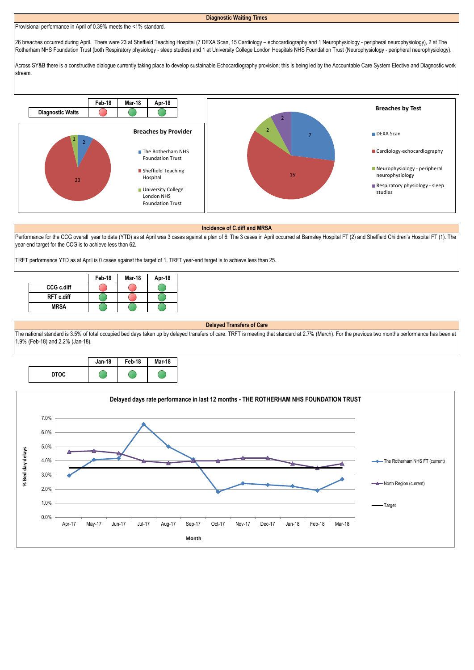# Provisional performance in April of 0.39% meets the <1% standard.

**Diagnostic Waiting Times**

26 breaches occurred during April. There were 23 at Sheffield Teaching Hospital (7 DEXA Scan, 15 Cardiology – echocardiography and 1 Neurophysiology - peripheral neurophysiology), 2 at The Rotherham NHS Foundation Trust (both Respiratory physiology - sleep studies) and 1 at University College London Hospitals NHS Foundation Trust (Neurophysiology - peripheral neurophysiology).

Across SY&B there is a constructive dialogue currently taking place to develop sustainable Echocardiography provision; this is being led by the Accountable Care System Elective and Diagnostic work stream.



#### **Incidence of C.diff and MRSA**

Performance for the CCG overall year to date (YTD) as at April was 3 cases against a plan of 6. The 3 cases in April occurred at Barnsley Hospital FT (2) and Sheffield Children's Hospital FT (1). The year-end target for the CCG is to achieve less than 62.

TRFT performance YTD as at April is 0 cases against the target of 1. TRFT year-end target is to achieve less than 25.

|                   | Feb-18 | <b>Mar-18</b> | Apr-18 |
|-------------------|--------|---------------|--------|
| CCG c.diff        |        |               |        |
| <b>RFT c.diff</b> |        |               |        |
| <b>MRSA</b>       |        |               |        |

## **Delayed Transfers of Care**

The national standard is 3.5% of total occupied bed days taken up by delayed transfers of care. TRFT is meeting that standard at 2.7% (March). For the previous two months performance has been at 1.9% (Feb-18) and 2.2% (Jan-18).



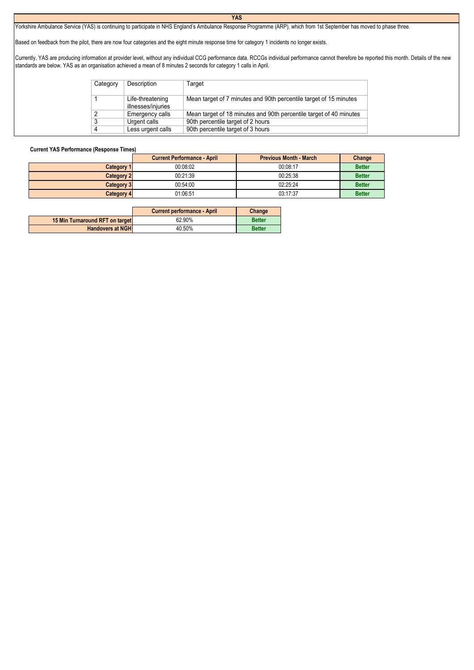## **YAS**

Yorkshire Ambulance Service (YAS) is continuing to participate in NHS England's Ambulance Response Programme (ARP), which from 1st September has moved to phase three.

Based on feedback from the pilot, there are now four categories and the eight minute response time for category 1 incidents no longer exists.

Currently, YAS are producing information at provider level, without any individual CCG performance data. RCCGs individual performance cannot therefore be reported this month. Details of the new standards are below. YAS as an organisation achieved a mean of 8 minutes 2 seconds for category 1 calls in April.

| Category | Description                            | Target                                                             |
|----------|----------------------------------------|--------------------------------------------------------------------|
|          | Life-threatening<br>illnesses/injuries | Mean target of 7 minutes and 90th percentile target of 15 minutes  |
| ◠        | Emergency calls                        | Mean target of 18 minutes and 90th percentile target of 40 minutes |
| ≏        | Urgent calls                           | 90th percentile target of 2 hours                                  |
|          | Less urgent calls                      | 90th percentile target of 3 hours                                  |

# **Current YAS Performance (Response Times)**

|                   | <b>Current Performance - April</b> | <b>Previous Month - March</b> | Change        |
|-------------------|------------------------------------|-------------------------------|---------------|
| Category 1        | 00:08:02                           | 00:08:17                      | <b>Better</b> |
| <b>Category 2</b> | 00:21:39                           | 00:25:38                      | <b>Better</b> |
| <b>Category 3</b> | 00:54:00                           | 02:25:24                      | <b>Better</b> |
| <b>Category 4</b> | 01:06:51                           | 03:17:37                      | <b>Better</b> |

|                                 | <b>Current performance - April</b> | Change        |
|---------------------------------|------------------------------------|---------------|
| 15 Min Turnaround RFT on target | 62.90%                             | <b>Better</b> |
| <b>Handovers at NGH</b>         | 40.50%                             | <b>Better</b> |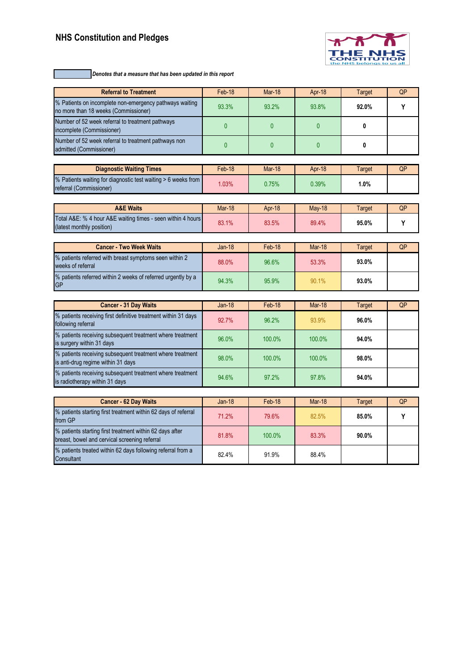# **NHS Constitution and Pledges**



*Denotes that a measure that has been updated in this report*

| <b>Referral to Treatment</b>                                                                              | Feb-18        | <b>Mar-18</b>   | Apr-18          | <b>Target</b>          | QP        |
|-----------------------------------------------------------------------------------------------------------|---------------|-----------------|-----------------|------------------------|-----------|
| % Patients on incomplete non-emergency pathways waiting<br>no more than 18 weeks (Commissioner)           | 93.3%         | 93.2%           | 93.8%           | 92.0%                  | Y         |
| Number of 52 week referral to treatment pathways<br>incomplete (Commissioner)                             | $\bf{0}$      | $\mathbf{0}$    | $\mathbf{0}$    | 0                      |           |
| Number of 52 week referral to treatment pathways non<br>admitted (Commissioner)                           | $\bf{0}$      | $\bf{0}$        | 0               | 0                      |           |
|                                                                                                           |               |                 |                 |                        |           |
| <b>Diagnostic Waiting Times</b>                                                                           | Feb-18        | <b>Mar-18</b>   | Apr-18          | <b>Target</b>          | QP        |
| % Patients waiting for diagnostic test waiting > 6 weeks from<br>referral (Commissioner)                  | 1.03%         | 0.75%           | 0.39%           | 1.0%                   |           |
| <b>A&amp;E Waits</b>                                                                                      | Mar-18        |                 |                 |                        |           |
| Total A&E: % 4 hour A&E waiting times - seen within 4 hours<br>(latest monthly position)                  | 83.1%         | Apr-18<br>83.5% | May-18<br>89.4% | <b>Target</b><br>95.0% | QP<br>Y   |
|                                                                                                           |               |                 |                 |                        |           |
| <b>Cancer - Two Week Waits</b>                                                                            | <b>Jan-18</b> | Feb-18          | <b>Mar-18</b>   | <b>Target</b>          | QP        |
| % patients referred with breast symptoms seen within 2<br>weeks of referral                               | 88.0%         | 96.6%           | 53.3%           | 93.0%                  |           |
| % patients referred within 2 weeks of referred urgently by a<br>GP                                        | 94.3%         | 95.9%           | 90.1%           | 93.0%                  |           |
|                                                                                                           |               |                 |                 |                        |           |
| <b>Cancer - 31 Day Waits</b>                                                                              | <b>Jan-18</b> | Feb-18          | <b>Mar-18</b>   | <b>Target</b>          | QP        |
| % patients receiving first definitive treatment within 31 days<br>following referral                      | 92.7%         | 96.2%           | 93.9%           | 96.0%                  |           |
| % patients receiving subsequent treatment where treatment<br>is surgery within 31 days                    | 96.0%         | 100.0%          | 100.0%          | 94.0%                  |           |
| % patients receiving subsequent treatment where treatment<br>is anti-drug regime within 31 days           | 98.0%         | 100.0%          | 100.0%          | 98.0%                  |           |
| % patients receiving subsequent treatment where treatment<br>is radiotherapy within 31 days               | 94.6%         | 97.2%           | 97.8%           | 94.0%                  |           |
|                                                                                                           |               |                 |                 |                        |           |
| <b>Cancer - 62 Day Waits</b>                                                                              | $Jan-18$      | Feb-18          | Mar-18          | <b>Target</b>          | <b>QP</b> |
| % patients starting first treatment within 62 days of referral<br>from GP                                 | 71.2%         | 79.6%           | 82.5%           | 85.0%                  | Y         |
| % patients starting first treatment within 62 days after<br>breast, bowel and cervical screening referral | 81.8%         | 100.0%          | 83.3%           | 90.0%                  |           |
| % patients treated within 62 days following referral from a<br>Consultant                                 | 82.4%         | 91.9%           | 88.4%           |                        |           |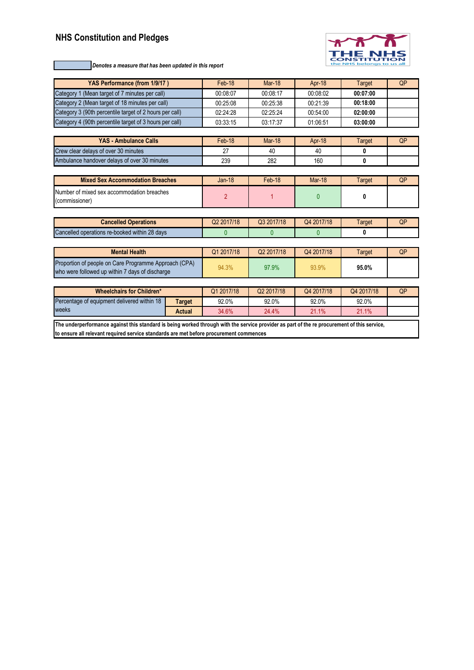# **NHS Constitution and Pledges**



*Denotes a measure that has been updated in this report*

| YAS Performance (from 1/9/17)                                                                                                               |                | Feb-18     | <b>Mar-18</b> | Apr-18        | <b>Target</b> | <b>QP</b> |
|---------------------------------------------------------------------------------------------------------------------------------------------|----------------|------------|---------------|---------------|---------------|-----------|
| Category 1 (Mean target of 7 minutes per call)                                                                                              |                | 00:08:07   | 00:08:17      | 00:08:02      | 00:07:00      |           |
| Category 2 (Mean target of 18 minutes per call)                                                                                             |                | 00:25:08   | 00:25:38      | 00:21:39      | 00:18:00      |           |
| Category 3 (90th percentile target of 2 hours per call)                                                                                     |                | 02:24:28   | 02:25:24      | 00:54:00      | 02:00:00      |           |
| Category 4 (90th percentile target of 3 hours per call)                                                                                     |                | 03:33:15   | 03:17:37      | 01:06:51      | 03:00:00      |           |
|                                                                                                                                             |                |            |               |               |               |           |
| YAS - Ambulance Calls                                                                                                                       |                | Feb-18     | <b>Mar-18</b> | Apr-18        | <b>Target</b> | OP        |
| Crew clear delays of over 30 minutes                                                                                                        |                | 27         | 40            | 40            | 0             |           |
| Ambulance handover delays of over 30 minutes                                                                                                |                | 239        | 282           | 160           | 0             |           |
|                                                                                                                                             |                |            |               |               |               |           |
| <b>Mixed Sex Accommodation Breaches</b>                                                                                                     |                | $Jan-18$   | Feb-18        | <b>Mar-18</b> | Target        | QP        |
| Number of mixed sex accommodation breaches<br>(commissioner)                                                                                | $\overline{2}$ |            | $\mathbf{0}$  | 0             |               |           |
|                                                                                                                                             |                |            |               |               |               |           |
| <b>Cancelled Operations</b>                                                                                                                 |                | Q2 2017/18 | Q3 2017/18    | Q4 2017/18    | <b>Target</b> | QP        |
| Cancelled operations re-booked within 28 days                                                                                               |                | 0          | $\mathbf{0}$  | $\mathbf{0}$  | 0             |           |
|                                                                                                                                             |                |            |               |               |               |           |
| <b>Mental Health</b>                                                                                                                        |                | Q1 2017/18 | Q2 2017/18    | Q4 2017/18    | Target        | QP        |
| Proportion of people on Care Programme Approach (CPA)<br>who were followed up within 7 days of discharge                                    |                | 94.3%      | 97.9%         | 93.9%         | 95.0%         |           |
|                                                                                                                                             |                |            |               |               |               |           |
| <b>Wheelchairs for Children*</b>                                                                                                            |                | Q1 2017/18 | Q2 2017/18    | Q4 2017/18    | Q4 2017/18    | QP        |
| Percentage of equipment delivered within 18                                                                                                 | 92.0%          | 92.0%      | 92.0%         | 92.0%         |               |           |
| weeks                                                                                                                                       | 34.6%          | 24.4%      | 21.1%         | 21.1%         |               |           |
| The underperformance against this standard is being worked through with the service provider as part of the re procurement of this service, |                |            |               |               |               |           |

**to ensure all relevant required service standards are met before procurement commences**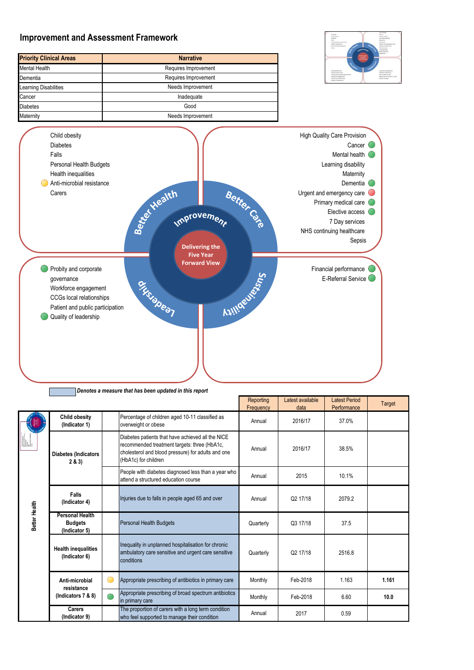

*Denotes a measure that has been updated in this report*

|               |                                                           |                            |                                                                                                                                                                                 | Reporting<br>Frequency | Latest available<br>data | <b>Latest Period</b><br>Performance | Target |
|---------------|-----------------------------------------------------------|----------------------------|---------------------------------------------------------------------------------------------------------------------------------------------------------------------------------|------------------------|--------------------------|-------------------------------------|--------|
|               | <b>Child obesity</b><br>(Indicator 1)                     |                            | Percentage of children aged 10-11 classified as<br>overweight or obese                                                                                                          | Annual                 | 2016/17                  | 37.0%                               |        |
|               | <b>Diabetes (Indicators</b><br>2 & 3)                     |                            | Diabetes patients that have achieved all the NICE<br>recommended treatment targets: three (HbA1c,<br>cholesterol and blood pressure) for adults and one<br>(HbA1c) for children | Annual                 | 2016/17                  | 38.5%                               |        |
|               |                                                           |                            | People with diabetes diagnosed less than a year who<br>attend a structured education course                                                                                     | Annual                 | 2015                     | 10.1%                               |        |
|               | <b>Falls</b><br>(Indicator 4)                             |                            | Injuries due to falls in people aged 65 and over                                                                                                                                | Annual                 | Q2 17/18                 | 2079.2                              |        |
| Better Health | <b>Personal Health</b><br><b>Budgets</b><br>(Indicator 5) |                            | <b>Personal Health Budgets</b>                                                                                                                                                  | Quarterly              | Q3 17/18                 | 37.5                                |        |
|               | <b>Health inequalities</b><br>(Indicator 6)               |                            | Inequality in unplanned hospitalisation for chronic<br>ambulatory care sensitive and urgent care sensitive<br>conditions                                                        | Quarterly              | Q2 17/18                 | 2516.8                              |        |
|               | Anti-microbial<br>resistance                              | $\overline{(\phantom{a})}$ | Appropriate prescribing of antibiotics in primary care                                                                                                                          | Monthly                | Feb-2018                 | 1.163                               | 1.161  |
|               | (Indicators 7 & 8)                                        |                            | Appropriate prescribing of broad spectrum antibiotics<br>in primary care                                                                                                        | Monthly                | Feb-2018                 | 6.60                                | 10.0   |
|               | Carers<br>(Indicator 9)                                   |                            | The proportion of carers with a long term condition<br>who feel supported to manage their condition                                                                             | Annual                 | 2017                     | 0.59                                |        |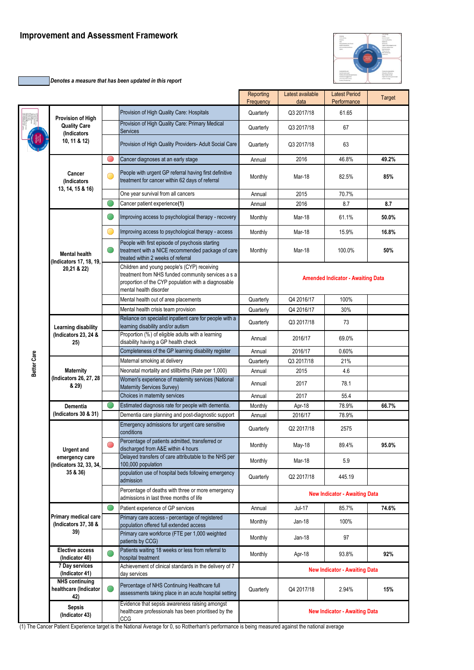# **Improvement and Assessment Framework**

*Denotes a measure that has been updated in this report*

|             |                                                       |            |                                                                                                                                                                                    | Reporting<br>Frequency | Latest available<br>data | <b>Latest Period</b><br>Performance      | Target |
|-------------|-------------------------------------------------------|------------|------------------------------------------------------------------------------------------------------------------------------------------------------------------------------------|------------------------|--------------------------|------------------------------------------|--------|
|             | Provision of High                                     |            | Provision of High Quality Care: Hospitals                                                                                                                                          | Quarterly              | Q3 2017/18               | 61.65                                    |        |
|             | <b>Quality Care</b><br>(Indicators                    |            | Provision of High Quality Care: Primary Medical<br><b>Services</b>                                                                                                                 | Quarterly              | Q3 2017/18               | 67                                       |        |
|             | 10, 11 & 12)                                          |            | Provision of High Quality Providers- Adult Social Care                                                                                                                             | Quarterly              | Q3 2017/18               | 63                                       |        |
|             |                                                       | O          | Cancer diagnoses at an early stage                                                                                                                                                 | Annual                 | 2016                     | 46.8%                                    | 49.2%  |
|             | Cancer<br>(Indicators                                 | $(\ )$     | People with urgent GP referral having first definitive<br>treatment for cancer within 62 days of referral                                                                          | Monthly                | Mar-18                   | 82.5%                                    | 85%    |
|             | 13, 14, 15 & 16)                                      |            | One year survival from all cancers                                                                                                                                                 | Annual                 | 2015                     | 70.7%                                    |        |
|             |                                                       |            | Cancer patient experience(1)                                                                                                                                                       | Annual                 | 2016                     | 8.7                                      | 8.7    |
|             |                                                       | O,         | Improving access to psychological therapy - recovery                                                                                                                               | Monthly                | Mar-18                   | 61.1%                                    | 50.0%  |
|             |                                                       | O          | Improving access to psychological therapy - access                                                                                                                                 | Monthly                | Mar-18                   | 15.9%                                    | 16.8%  |
|             | <b>Mental health</b><br>(Indicators 17, 18, 19,       | Œ.         | People with first episode of psychosis starting<br>treatment with a NICE recommended package of care<br>treated within 2 weeks of referral                                         | Monthly                | Mar-18                   | 100.0%                                   | 50%    |
|             | 20,21 & 22)                                           |            | Children and young people's (CYP) receiving<br>treatment from NHS funded community services a s a<br>proportion of the CYP population with a diagnosable<br>mental health disorder |                        |                          | <b>Amended Indicator - Awaiting Data</b> |        |
|             |                                                       |            | Mental health out of area placements                                                                                                                                               | Quarterly              | Q4 2016/17               | 100%                                     |        |
|             |                                                       |            | Mental health crisis team provision                                                                                                                                                | Quarterly              | Q4 2016/17               | 30%                                      |        |
|             | Learning disability                                   |            | Reliance on specialist inpatient care for people with a<br>learning disability and/or autism                                                                                       | Quarterly              | Q3 2017/18               | 73                                       |        |
|             | (Indicators 23, 24 &<br>25)                           |            | Proportion (%) of eligible adults with a learning<br>disability having a GP health check                                                                                           | Annual                 | 2016/17                  | 69.0%                                    |        |
|             |                                                       |            | Completeness of the GP learning disability register                                                                                                                                | Annual                 | 2016/17                  | 0.60%                                    |        |
| Better Care |                                                       |            | Maternal smoking at delivery                                                                                                                                                       | Quarterly              | Q3 2017/18               | 21%                                      |        |
|             | <b>Maternity</b>                                      |            | Neonatal mortality and stillbirths (Rate per 1,000)                                                                                                                                | Annual                 | 2015                     | 4.6                                      |        |
|             | (Indicators 26, 27, 28<br>& 29)                       |            | Women's experience of maternity services (National<br>Maternity Services Survey)                                                                                                   | Annual                 | 2017                     | 78.1                                     |        |
|             |                                                       |            | Choices in maternity services                                                                                                                                                      | Annual                 | 2017                     | 55.4                                     |        |
|             | Dementia                                              | $\bigcirc$ | Estimated diagnosis rate for people with dementia.                                                                                                                                 | Monthly                | Apr-18                   | 78.9%                                    | 66.7%  |
|             | (Indicators 30 & 31)                                  |            | Dementia care planning and post-diagnostic support                                                                                                                                 | Annual                 | 2016/17                  | 78.9%                                    |        |
|             |                                                       |            | Emergency admissions for urgent care sensitive<br>conditions                                                                                                                       | Quarterly              | Q2 2017/18               | 2575                                     |        |
|             | <b>Urgent and</b>                                     |            | Percentage of patients admitted, transferred or<br>discharged from A&E within 4 hours                                                                                              | Monthly                | May-18                   | 89.4%                                    | 95.0%  |
|             | emergency care<br>(Indicators 32, 33, 34,             |            | Delayed transfers of care attributable to the NHS per<br>100,000 population                                                                                                        | Monthly                | Mar-18                   | 5.9                                      |        |
|             | 35 & 36)                                              |            | population use of hospital beds following emergency<br>admission                                                                                                                   | Quarterly              | Q2 2017/18               | 445.19                                   |        |
|             |                                                       |            | Percentage of deaths with three or more emergency<br>admissions in last three months of life                                                                                       |                        |                          | <b>New Indicator - Awaiting Data</b>     |        |
|             |                                                       |            | Patient experience of GP services                                                                                                                                                  | Annual                 | Jul-17                   | 85.7%                                    | 74.6%  |
|             | Primary medical care<br>(Indicators 37, 38 &          |            | Primary care access - percentage of registered<br>population offered full extended access                                                                                          | Monthly                | Jan-18                   | 100%                                     |        |
|             | 39)                                                   |            | Primary care workforce (FTE per 1,000 weighted<br>patients by CCG)                                                                                                                 | Monthly                | Jan-18                   | 97                                       |        |
|             | <b>Elective access</b><br>(Indicator 40)              |            | Patients waiting 18 weeks or less from referral to<br>hospital treatment                                                                                                           | Monthly                | Apr-18                   | 93.8%                                    | 92%    |
|             | 7 Day services<br>(Indicator 41)                      |            | Achievement of clinical standards in the delivery of 7<br>day services                                                                                                             |                        |                          | <b>New Indicator - Awaiting Data</b>     |        |
|             | <b>NHS</b> continuing<br>healthcare (Indicator<br>42) |            | Percentage of NHS Continuing Healthcare full<br>assessments taking place in an acute hospital setting                                                                              | Quarterly              | Q4 2017/18               | 2.94%                                    | 15%    |
|             | <b>Sepsis</b><br>(Indicator 43)                       |            | Evidence that sepsis awareness raising amongst<br>healthcare professionals has been prioritised by the<br>CCG                                                                      |                        |                          | <b>New Indicator - Awaiting Data</b>     |        |
|             |                                                       |            |                                                                                                                                                                                    |                        |                          |                                          |        |

(1) The Cancer Patient Experience target is the National Average for 0, so Rotherham's performance is being measured against the national average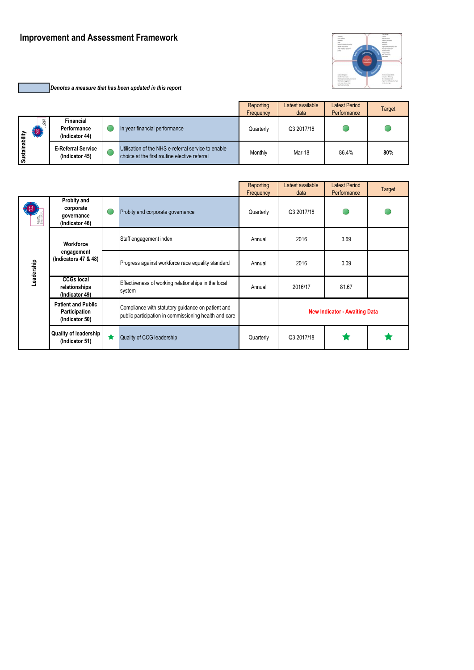# **Improvement and Assessment Framework**

*Denotes a measure that has been updated in this report*

|                 |                |                                             |                                                                                                      | Reporting<br>Frequency | Latest available<br>data | <b>Latest Period</b><br>Performance | Target |
|-----------------|----------------|---------------------------------------------|------------------------------------------------------------------------------------------------------|------------------------|--------------------------|-------------------------------------|--------|
| ability         | 湚<br>$\bullet$ | Financial<br>Performance<br>(Indicator 44)  | In year financial performance                                                                        | Quarterly              | Q3 2017/18               |                                     |        |
| <b>Sustaina</b> |                | <b>E-Referral Service</b><br>(Indicator 45) | Utilisation of the NHS e-referral service to enable<br>choice at the first routine elective referral | Monthly                | Mar-18                   | 86.4%                               | 80%    |

|            |                                                              |   |                                                                                                            | Reporting<br>Frequency | Latest available<br>data             | <b>Latest Period</b><br>Performance | Target |
|------------|--------------------------------------------------------------|---|------------------------------------------------------------------------------------------------------------|------------------------|--------------------------------------|-------------------------------------|--------|
| 鼺          | Probity and<br>corporate<br>governance<br>(Indicator 46)     | Œ | Probity and corporate governance                                                                           | Quarterly              | Q3 2017/18                           |                                     |        |
| Workforce  |                                                              |   | Staff engagement index                                                                                     | Annual                 | 2016                                 | 3.69                                |        |
| Leadership | engagement<br>(Indicators 47 & 48)                           |   | Progress against workforce race equality standard                                                          | Annual                 | 2016                                 | 0.09                                |        |
|            | <b>CCGs local</b><br>relationships<br>(Indicator 49)         |   | Effectiveness of working relationships in the local<br>system                                              | Annual                 | 2016/17                              | 81.67                               |        |
|            | <b>Patient and Public</b><br>Participation<br>(Indicator 50) |   | Compliance with statutory guidance on patient and<br>public participation in commissioning health and care |                        | <b>New Indicator - Awaiting Data</b> |                                     |        |
|            | <b>Quality of leadership</b><br>(Indicator 51)               | ★ | Quality of CCG leadership                                                                                  | Quarterly              | Q3 2017/18                           |                                     |        |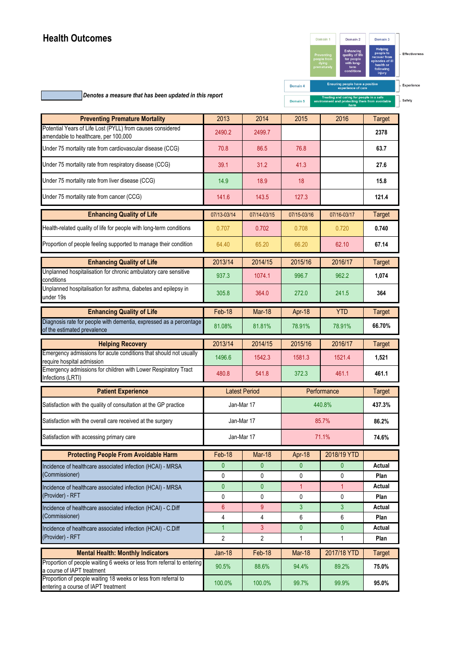# **Health Outcomes**



*Denotes a measure that has been updated in this report*

| <b>Preventing Premature Mortality</b>                                                             | 2013                | 2014                 | 2015           | 2016              | <b>Target</b>  |
|---------------------------------------------------------------------------------------------------|---------------------|----------------------|----------------|-------------------|----------------|
| Potential Years of Life Lost (PYLL) from causes considered                                        | 2490.2              | 2499.7               |                |                   | 2378           |
| amendable to healthcare, per 100,000                                                              |                     |                      |                |                   |                |
| Under 75 mortality rate from cardiovascular disease (CCG)                                         | 70.8                | 86.5                 | 76.8           |                   | 63.7           |
| Under 75 mortality rate from respiratory disease (CCG)                                            | 39.1                | 31.2                 | 41.3           |                   | 27.6           |
| Under 75 mortality rate from liver disease (CCG)                                                  | 14.9                | 18.9                 | 18             |                   | 15.8           |
| Under 75 mortality rate from cancer (CCG)                                                         | 141.6               | 143.5                | 127.3          |                   | 121.4          |
| <b>Enhancing Quality of Life</b>                                                                  | 07/13-03/14         | 07/14-03/15          | 07/15-03/16    | 07/16-03/17       | <b>Target</b>  |
| Health-related quality of life for people with long-term conditions                               | 0.707               | 0.702                | 0.708          | 0.720             | 0.740          |
| Proportion of people feeling supported to manage their condition                                  | 64.40               | 65.20                | 66.20          | 62.10             | 67.14          |
| <b>Enhancing Quality of Life</b>                                                                  | 2013/14             | 2014/15              | 2015/16        | 2016/17           | <b>Target</b>  |
| Unplanned hospitalisation for chronic ambulatory care sensitive<br>conditions                     | 937.3               | 1074.1               | 996.7          | 962.2             | 1,074          |
| Unplanned hospitalisation for asthma, diabetes and epilepsy in<br>under 19s                       | 305.8               | 364.0                | 272.0          | 241.5             | 364            |
| <b>Enhancing Quality of Life</b>                                                                  | Feb-18              | Mar-18               | Apr-18         | <b>YTD</b>        | <b>Target</b>  |
| Diagnosis rate for people with dementia, expressed as a percentage<br>of the estimated prevalence | 81.08%              | 81.81%               | 78.91%         | 78.91%            | 66.70%         |
| <b>Helping Recovery</b>                                                                           | 2013/14             | 2014/15              | 2015/16        | 2016/17           | <b>Target</b>  |
| Emergency admissions for acute conditions that should not usually<br>require hospital admission   | 1496.6              | 1542.3               | 1581.3         | 1521.4            | 1,521          |
| Emergency admissions for children with Lower Respiratory Tract<br>Infections (LRTI)               | 480.8               | 541.8                | 372.3          | 461.1             | 461.1          |
| <b>Patient Experience</b>                                                                         |                     | <b>Latest Period</b> | Performance    | <b>Target</b>     |                |
| Satisfaction with the quality of consultation at the GP practice                                  | Jan-Mar 17          |                      |                | 440.8%            | 437.3%         |
| Satisfaction with the overall care received at the surgery                                        | Jan-Mar 17          |                      |                | 85.7%             | 86.2%          |
| Satisfaction with accessing primary care                                                          | Jan-Mar 17          |                      |                | 71.1%             | 74.6%          |
| <b>Protecting People From Avoidable Harm</b>                                                      | Feb-18              | <b>Mar-18</b>        | Apr-18         | 2018/19 YTD       |                |
| Incidence of healthcare associated infection (HCAI) - MRSA                                        | 0                   | 0                    | 0              | $\boldsymbol{0}$  | Actual         |
| (Commissioner)                                                                                    | 0                   | 0                    | 0              | 0                 | Plan           |
| Incidence of healthcare associated infection (HCAI) - MRSA                                        | 0                   | 0                    | 1              | 1                 | Actual         |
| (Provider) - RFT                                                                                  | 0                   | 0                    | 0              | 0                 | Plan           |
| Incidence of healthcare associated infection (HCAI) - C.Diff                                      | $6\phantom{1}$      | 9                    | 3              | $\mathbf{3}$      | Actual         |
| (Commissioner)                                                                                    | 4                   | 4                    | 6              | 6                 | Plan           |
| Incidence of healthcare associated infection (HCAI) - C.Diff<br>(Provider) - RFT                  | 1<br>$\overline{2}$ | 3<br>$\overline{2}$  | $\pmb{0}$<br>1 | $\mathbf{0}$<br>1 | Actual<br>Plan |
| <b>Mental Health: Monthly Indicators</b>                                                          | $Jan-18$            | Feb-18               | Mar-18         | 2017/18 YTD       | <b>Target</b>  |
| Proportion of people waiting 6 weeks or less from referral to entering                            |                     |                      |                |                   |                |
| a course of IAPT treatment<br>Proportion of people waiting 18 weeks or less from referral to      | 90.5%               | 88.6%                | 94.4%          | 89.2%             | 75.0%          |
| entering a course of IAPT treatment                                                               | 100.0%              | 100.0%               | 99.7%          | 99.9%             | 95.0%          |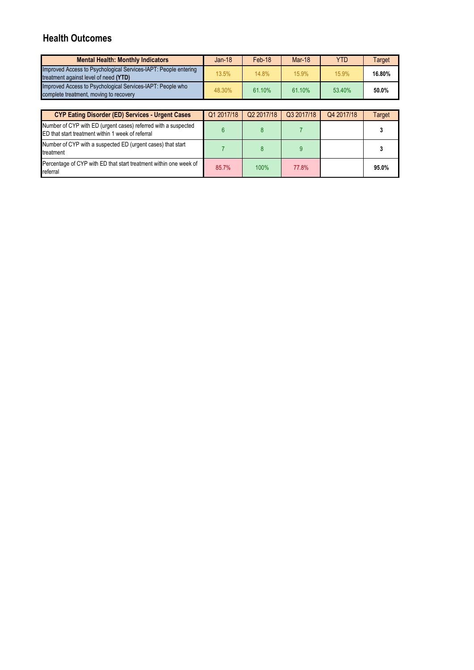# **Health Outcomes**

| <b>Mental Health: Monthly Indicators</b>                                                                 | $Jan-18$ | Feb-18 | Mar-18 | <b>YTD</b> | Target |
|----------------------------------------------------------------------------------------------------------|----------|--------|--------|------------|--------|
| Improved Access to Psychological Services-IAPT: People entering<br>treatment against level of need (YTD) | 13.5%    | 14.8%  | 15.9%  | 15.9%      | 16.80% |
| Improved Access to Psychological Services-IAPT: People who<br>complete treatment, moving to recovery     | 48.30%   | 61.10% | 61.10% | 53.40%     | 50.0%  |

| <b>CYP Eating Disorder (ED) Services - Urgent Cases</b>                                                             | Q1 2017/18 | Q2 2017/18 | Q3 2017/18 | Q4 2017/18 | Target |
|---------------------------------------------------------------------------------------------------------------------|------------|------------|------------|------------|--------|
| Number of CYP with ED (urgent cases) referred with a suspected<br>ED that start treatment within 1 week of referral |            |            |            |            |        |
| Number of CYP with a suspected ED (urgent cases) that start<br>treatment                                            |            |            |            |            |        |
| Percentage of CYP with ED that start treatment within one week of<br>referral                                       | 85.7%      | 100%       | 77.8%      |            | 95.0%  |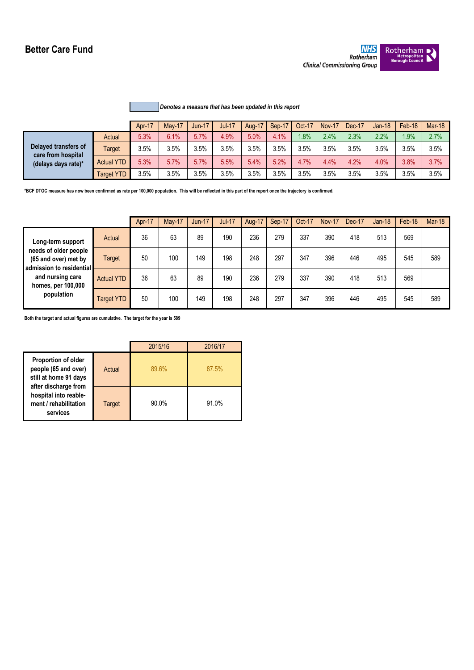# **Better Care Fund**



# *Denotes a measure that has been updated in this report*

|                                                                   |                   | Apr-17 | <b>May-17</b> | <b>Jun-17</b> | <b>Jul-17</b> | <b>Aug-17</b> | Sep-17 | Oct-17 | Nov-17 | Dec-17 | $Jan-18$ | Feb-18 | <b>Mar-18</b> |
|-------------------------------------------------------------------|-------------------|--------|---------------|---------------|---------------|---------------|--------|--------|--------|--------|----------|--------|---------------|
| Delayed transfers of<br>care from hospital<br>(delays days rate)* | Actual            | 5.3%   | 6.1%          | 5.7%          | 4.9%          | 5.0%          | 4.1%   | .8%    | 2.4%   | 2.3%   | 2.2%     | 1.9%   | 2.7%          |
|                                                                   | Target            | 3.5%   | 3.5%          | 3.5%          | 3.5%          | 3.5%          | 3.5%   | 3.5%   | 3.5%   | 3.5%   | 3.5%     | 3.5%   | 3.5%          |
|                                                                   | <b>Actual YTD</b> | 5.3%   | 5.7%          | 5.7%          | 5.5%          | 5.4%          | 5.2%   | 4.7%   | 4.4%   | 4.2%   | 4.0%     | 3.8%   | 3.7%          |
|                                                                   | Target YTD        | 3.5%   | 3.5%          | 3.5%          | 3.5%          | 3.5%          | 3.5%   | 3.5%   | 3.5%   | 3.5%   | 3.5%     | 3.5%   | 3.5%          |

**\*BCF DTOC measure has now been confirmed as rate per 100,000 population. This will be reflected in this part of the report once the trajectory is confirmed.**

|                                                                           |                   | Apr-17 | <b>May-17</b> | $Jun-17$ | <b>Jul-17</b> | Aug-17 | Sep-17 | Oct-17 | <b>Nov-17</b> | Dec-17 | $Jan-18$ | Feb-18 | <b>Mar-18</b> |
|---------------------------------------------------------------------------|-------------------|--------|---------------|----------|---------------|--------|--------|--------|---------------|--------|----------|--------|---------------|
| Long-term support                                                         | Actual            | 36     | 63            | 89       | 190           | 236    | 279    | 337    | 390           | 418    | 513      | 569    |               |
| needs of older people<br>(65 and over) met by<br>admission to residential | Target            | 50     | 100           | 149      | 198           | 248    | 297    | 347    | 396           | 446    | 495      | 545    | 589           |
| and nursing care<br>homes, per 100,000                                    | <b>Actual YTD</b> | 36     | 63            | 89       | 190           | 236    | 279    | 337    | 390           | 418    | 513      | 569    |               |
| population                                                                | <b>Target YTD</b> | 50     | 100           | 149      | 198           | 248    | 297    | 347    | 396           | 446    | 495      | 545    | 589           |

**Both the target and actual figures are cumulative. The target for the year is 589**

|                                                                                                     |        | 2015/16  | 2016/17 |
|-----------------------------------------------------------------------------------------------------|--------|----------|---------|
| <b>Proportion of older</b><br>people (65 and over)<br>still at home 91 days<br>after discharge from | Actual | 89.6%    | 87.5%   |
| hospital into reable-<br>ment / rehabilitation<br>services                                          | Target | $90.0\%$ | 91.0%   |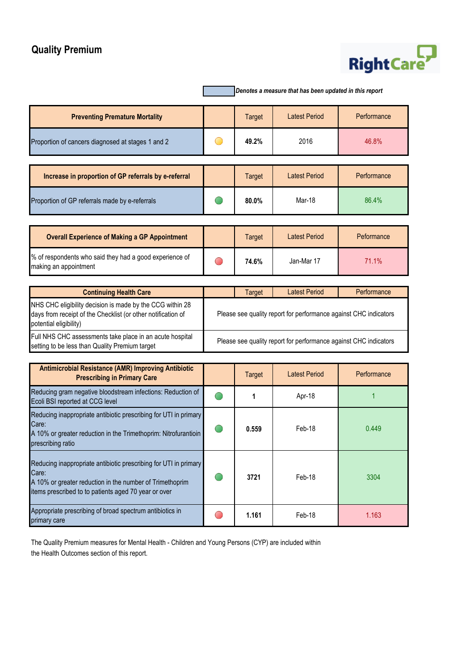# **Quality Premium**

# RightCare

|                                                                                                                                                                                               |            |               | Denotes a measure that has been updated in this report           |             |
|-----------------------------------------------------------------------------------------------------------------------------------------------------------------------------------------------|------------|---------------|------------------------------------------------------------------|-------------|
| <b>Preventing Premature Mortality</b>                                                                                                                                                         |            | <b>Target</b> | <b>Latest Period</b>                                             | Performance |
| Proportion of cancers diagnosed at stages 1 and 2                                                                                                                                             |            | 49.2%         | 2016                                                             | 46.8%       |
| Increase in proportion of GP referrals by e-referral                                                                                                                                          |            | <b>Target</b> | <b>Latest Period</b>                                             | Performance |
| Proportion of GP referrals made by e-referrals                                                                                                                                                |            | 80.0%         | Mar-18                                                           | 86.4%       |
| <b>Overall Experience of Making a GP Appointment</b>                                                                                                                                          |            | <b>Target</b> | <b>Latest Period</b>                                             | Peformance  |
| % of respondents who said they had a good experience of<br>making an appointment                                                                                                              | $\bigcirc$ | 74.6%         | Jan-Mar 17                                                       | 71.1%       |
|                                                                                                                                                                                               |            |               | <b>Latest Period</b>                                             | Performance |
| <b>Continuing Health Care</b><br>NHS CHC eligibility decision is made by the CCG within 28<br>days from receipt of the Checklist (or other notification of<br>potential eligibility)          |            | <b>Target</b> | Please see quality report for performance against CHC indicators |             |
| Full NHS CHC assessments take place in an acute hospital<br>setting to be less than Quality Premium target                                                                                    |            |               | Please see quality report for performance against CHC indicators |             |
| <b>Antimicrobial Resistance (AMR) Improving Antibiotic</b><br><b>Prescribing in Primary Care</b>                                                                                              |            | <b>Target</b> | <b>Latest Period</b>                                             | Performance |
| Reducing gram negative bloodstream infections: Reduction of<br>Ecoli BSI reported at CCG level                                                                                                |            | 1             | Apr-18                                                           | 1           |
| Reducing inappropriate antibiotic prescribing for UTI in primary<br>Care:<br>A 10% or greater reduction in the Trimethoprim: Nitrofurantioin<br>prescribing ratio                             |            | 0.559         | Feb-18                                                           | 0.449       |
| Reducing inappropriate antibiotic prescribing for UTI in primary<br>Care:<br>A 10% or greater reduction in the number of Trimethoprim<br>items prescribed to to patients aged 70 year or over |            | 3721          | Feb-18                                                           | 3304        |
| Appropriate prescribing of broad spectrum antibiotics in<br>primary care                                                                                                                      |            | 1.161         | Feb-18                                                           | 1.163       |

The Quality Premium measures for Mental Health - Children and Young Persons (CYP) are included within the Health Outcomes section of this report.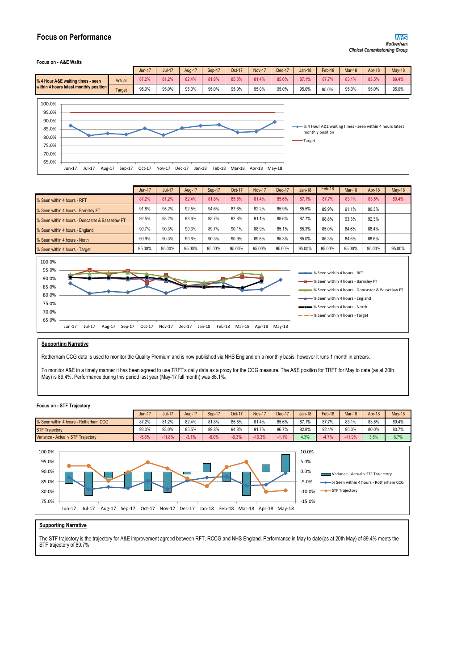# **Focus on Performance**

#### **Focus on - A&E Waits**

|                                        |        | Jun-17 | $Jul-17$ | <b>Aug-17</b> | Sep-17 | Oct-17 | <b>Nov-17</b> | Dec-17 | $Jan-18$ | Feb-18 | Mar-18 | Apr-18 | <b>May-18</b> |
|----------------------------------------|--------|--------|----------|---------------|--------|--------|---------------|--------|----------|--------|--------|--------|---------------|
| % 4 Hour A&E waiting times - seen      | Actual | 87.2%  | 81.2%    | 82.4%         | 81.8%  | 85.5%  | 81.4%         | 85.6%  | 87.1%    | 87.7%  | 83.1%  | 83.5%  | 89.4%         |
| within 4 hours latest monthly position | Target | 95.0%  | 95.0%    | 95.0%         | 95.0%  | 95.0%  | 95.0%         | 95.0%  | 95.0%    | 95.0%  | 95.0%  | 95.0%  | 95.0%         |



|                                                  | $Jun-17$ | <b>Jul-17</b> | Aug-17 | Sep-17 | Oct-17 | <b>Nov-17</b> | Dec-17 | $Jan-18$ | Feb-18 | <b>Mar-18</b> | Apr-18 | <b>May-18</b> |
|--------------------------------------------------|----------|---------------|--------|--------|--------|---------------|--------|----------|--------|---------------|--------|---------------|
| % Seen within 4 hours - RFT                      | 87.2%    | 81.2%         | 82.4%  | 81.8%  | 85.5%  | 81.4%         | 85.6%  | 87.1%    | 87.7%  | 83.1%         | 83.5%  | 89.4%         |
| % Seen within 4 hours - Barnsley FT              | 91.8%    | 95.2%         | 92.5%  | 94.6%  | 87.6%  | 92.2%         | 85.9%  | 85.5%    | 89.9%  | 91.1%         | 90.3%  |               |
| % Seen within 4 hours - Doncaster & Bassetlaw FT | 92.5%    | 93.2%         | 93.6%  | 93.7%  | 92.8%  | 91.1%         | 88.6%  | 87.7%    | 88.8%  | 93.3%         | 92.3%  |               |
| % Seen within 4 hours - England                  | 90.7%    | 90.3%         | 90.3%  | 89.7%  | 90.1%  | 88.9%         | 85.1%  | 85.3%    | 85.0%  | 84.6%         | 88.4%  |               |
| % Seen within 4 hours - North                    | 90.9%    | 90.3%         | 90.6%  | 90.3%  | 90.9%  | 89.6%         | 85.3%  | 85.0%    | 85.3%  | 84.5%         | 88.6%  |               |
| % Seen within 4 hours - Target                   | 95.00%   | 95.00%        | 95.00% | 95.00% | 95.00% | 95.00%        | 95.00% | 95.00%   | 95.00% | 95.00%        | 95.00% | 95.00%        |



# **Supporting Narrative**

Rotherham CCG data is used to monitor the Quality Premium and is now published via NHS England on a monthly basis; however it runs 1 month in arrears.

To monitor A&E in a timely manner it has been agreed to use TRFT's daily data as a proxy for the CCG measure. The A&E position for TRFT for May to date (as at 20th May) is 89.4%. Performance during this period last year (May-17 full month) was 88.1%.

#### **Focus on - STF Trajectory**



# **Supporting Narrative**

The STF trajectory is the trajectory for A&E improvement agreed between RFT, RCCG and NHS England. Performance in May to date(as at 20th May) of 89.4% meets the STF trajectory of 80.7%.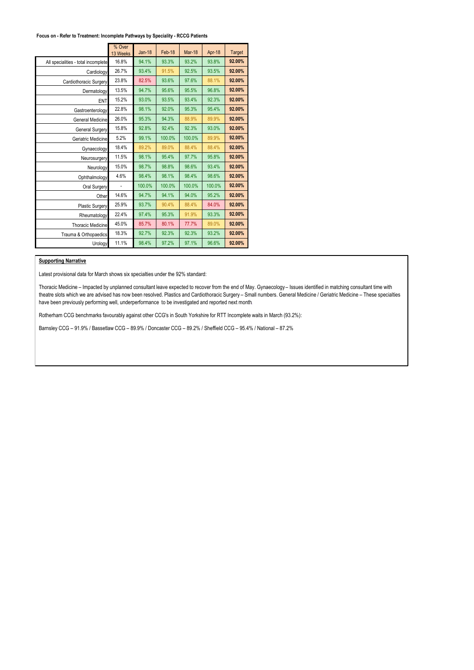## **Focus on - Refer to Treatment: Incomplete Pathways by Speciality - RCCG Patients**

|                                     | % Over<br>13 Weeks | $Jan-18$ | Feb-18 | Mar-18 | Apr-18 | <b>Target</b> |
|-------------------------------------|--------------------|----------|--------|--------|--------|---------------|
| All specialities - total incomplete | 16.8%              | 94.1%    | 93.3%  | 93.2%  | 93.8%  | 92.00%        |
| Cardiology                          | 26.7%              | 93.4%    | 91.5%  | 92.5%  | 93.5%  | 92.00%        |
| Cardiothoracic Surgery              | 23.8%              | 82.5%    | 93.6%  | 97.6%  | 88.1%  | 92.00%        |
| Dermatology                         | 13.5%              | 94.7%    | 95.6%  | 95.5%  | 96.8%  | 92.00%        |
| ENT                                 | 15.2%              | 93.0%    | 93.5%  | 93.4%  | 92.3%  | 92.00%        |
| Gastroenterology                    | 22.8%              | 98.1%    | 92.0%  | 95.3%  | 95.4%  | 92.00%        |
| General Medicine                    | 26.0%              | 95.3%    | 94.3%  | 88.9%  | 89.9%  | 92.00%        |
| General Surgery                     | 15.8%              | 92.8%    | 92.4%  | 92.3%  | 93.0%  | 92.00%        |
| Geriatric Medicine                  | 5.2%               | 99.1%    | 100.0% | 100.0% | 89.9%  | 92.00%        |
| Gynaecology                         | 18.4%              | 89.2%    | 89.0%  | 88.4%  | 88.4%  | 92.00%        |
| Neurosurgery                        | 11.5%              | 98.1%    | 95.4%  | 97.7%  | 95.8%  | 92.00%        |
| Neurology                           | 15.0%              | 98.7%    | 98.8%  | 98.6%  | 93.4%  | 92.00%        |
| Ophthalmology                       | 4.6%               | 98.4%    | 98.1%  | 98.4%  | 98.6%  | 92.00%        |
| Oral Surgery                        |                    | 100.0%   | 100.0% | 100.0% | 100.0% | 92.00%        |
| Other                               | 14.6%              | 94.7%    | 94.1%  | 94.0%  | 95.2%  | 92.00%        |
| <b>Plastic Surgery</b>              | 25.9%              | 93.7%    | 90.4%  | 88.4%  | 84.0%  | 92.00%        |
| Rheumatology                        | 22.4%              | 97.4%    | 95.3%  | 91.9%  | 93.3%  | 92.00%        |
| <b>Thoracic Medicine</b>            | 45.0%              | 85.7%    | 80.1%  | 77.7%  | 89.0%  | 92.00%        |
| Trauma & Orthopaedics               | 18.3%              | 92.7%    | 92.3%  | 92.3%  | 93.2%  | 92.00%        |
| Urology                             | 11.1%              | 98.4%    | 97.2%  | 97.1%  | 96.6%  | 92.00%        |

## **Supporting Narrative**

Latest provisional data for March shows six specialties under the 92% standard:

Thoracic Medicine – Impacted by unplanned consultant leave expected to recover from the end of May. Gynaecology – Issues identified in matching consultant time with theatre slots which we are advised has now been resolved. Plastics and Cardiothoracic Surgery – Small numbers. General Medicine / Geriatric Medicine – These specialties have been previously performing well, underperformance to be investigated and reported next month.

Rotherham CCG benchmarks favourably against other CCG's in South Yorkshire for RTT Incomplete waits in March (93.2%):

Barnsley CCG – 91.9% / Bassetlaw CCG – 89.9% / Doncaster CCG – 89.2% / Sheffield CCG – 95.4% / National – 87.2%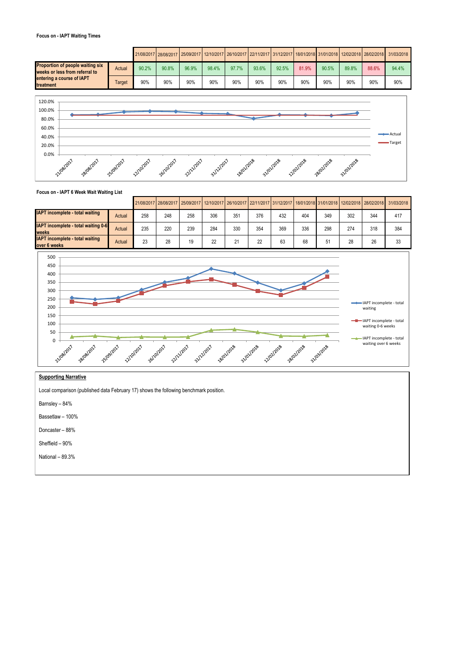## **Focus on - IAPT Waiting Times**

|                                                                           |        |       |       |       |       |       |       |       |       |       |       |       | 26/03/2017 28/08/2017 25/09/2017 12/10/2017 26/10/2017 22/11/2017 131/12/2017 18/01/2018 31/01/2018 12/02/2018 28/02/2018 21/03/2018 20:02 |
|---------------------------------------------------------------------------|--------|-------|-------|-------|-------|-------|-------|-------|-------|-------|-------|-------|--------------------------------------------------------------------------------------------------------------------------------------------|
| <b>Proportion of people waiting six</b><br>weeks or less from referral to | Actual | 90.2% | 90.8% | 96.9% | 98.4% | 97.7% | 93.6% | 92.5% | 81.9% | 90.5% | 89.8% | 88.6% | 94.4%                                                                                                                                      |
| entering a course of IAPT<br>treatment                                    | Target | 90%   | 90%   | 90%   | 90%   | 90%   | 90%   | 90%   | 90%   | 90%   | 90%   | 90%   | 90%                                                                                                                                        |



# **Focus on - IAPT 6 Week Wait Waiting List**

|                                                        |        |     |     |     |     |     |     |     |     |     |     |     | 21/08/2017 28/08/2017 25/09/2017 12/10/2017 26/10/2017 22/11/2017 31/12/2017 18/01/2018 31/01/2018 12/02/2018 28/02/2018 21/03/2018 |
|--------------------------------------------------------|--------|-----|-----|-----|-----|-----|-----|-----|-----|-----|-----|-----|-------------------------------------------------------------------------------------------------------------------------------------|
| <b>IAPT</b> incomplete - total waiting                 | Actual | 258 | 248 | 258 | 306 | 351 | 376 | 432 | 404 | 349 | 302 | 344 | 417                                                                                                                                 |
| <b>IAPT</b> incomplete - total waiting 0-6<br>weeks    | Actual | 235 | 220 | 239 | 284 | 330 | 354 | 369 | 336 | 298 | 274 | 318 | 384                                                                                                                                 |
| <b>IAPT</b> incomplete - total waiting<br>over 6 weeks | Actual | 23  | 28  | 19  | 22  | 21  | 22  | 63  | 68  | 51  | 28  | 26  | 33                                                                                                                                  |



# **Supporting Narrative**

Local comparison (published data February 17) shows the following benchmark position.

Barnsley – 84%

Bassetlaw – 100% Doncaster – 88%

Sheffield – 90%

National – 89.3%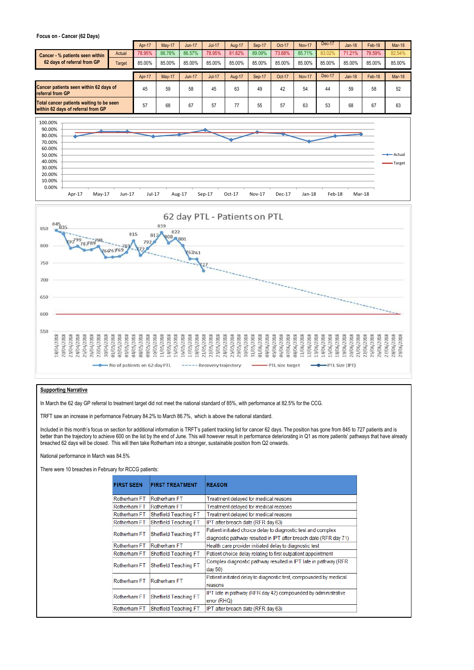#### **Focus on - Cancer (62 Days)**

|                                                                                |        | Apr-17 | <b>May-17</b> | $Jun-17$ | <b>Jul-17</b> | Aug-17 | Sep-17 | Oct-17 | <b>Nov-17</b> | Dec-17 | Jan-18 | Feb-18 | <b>Mar-18</b> |
|--------------------------------------------------------------------------------|--------|--------|---------------|----------|---------------|--------|--------|--------|---------------|--------|--------|--------|---------------|
| <b>Cancer - % patients seen within</b>                                         | Actual | 78.95% | 86.76%        | 86.57%   | 78.95%        | 81.82% | 89.09% | 73.68% | 85.71%        | 83.02% | 71.21% | 79.59% | 82.54%        |
| 62 days of referral from GP                                                    | Target | 85.00% | 85.00%        | 85.00%   | 85.00%        | 85.00% | 85.00% | 85.00% | 85.00%        | 85.00% | 85.00% | 85.00% | 85.00%        |
|                                                                                |        | Apr-17 | <b>May-17</b> | $Jun-17$ | $Jul-17$      | Aug-17 | Sep-17 | Oct-17 | <b>Nov-17</b> | Dec-17 | Jan-18 | Feb-18 | <b>Mar-18</b> |
| Cancer patients seen within 62 days of<br>referral from GP                     |        | 45     | 59            | 58       | 45            | 63     | 49     | 42     | 54            | 44     | 59     | 58     | 52            |
| Total cancer patients waiting to be seen<br>within 62 days of referral from GP |        | 57     | 68            | 67       | 57            | 77     | 55     | 57     | 63            | 53     | 68     | 67     | 63            |





## **Supporting Narrative**

In March the 62 day GP referral to treatment target did not meet the national standard of 85%, with performance at 82.5% for the CCG.

TRFT saw an increase in performance February 84.2% to March 86.7%, which is above the national standard.

Included in this month's focus on section for additional information is TRFT's patient tracking list for cancer 62 days. The position has gone from 845 to 727 patients and is better than the trajectory to achieve 600 on the list by the end of June. This will however result in performance deteriorating in Q1 as more patients' pathways that have already breached 62 days will be closed. This will then take Rotherham into a stronger, sustainable position from Q2 onwards.

## National performance in March was 84.5%

There were 10 breaches in February for RCCG patients:

| <b>FIRST SEEN</b> | <b>FIRST TREATMENT</b> | <b>REASON</b>                                                                  |
|-------------------|------------------------|--------------------------------------------------------------------------------|
| Rotherham FT      | Rotherham FT           | Treatment delayed for medical reasons                                          |
| Rotherham FT      | Rotherham FT           | Treatment delayed for medical reasons                                          |
| Rotherham FT      | Sheffield Teaching FT  | Treatment delayed for medical reasons                                          |
| Rotherham FT      | Sheffield Teaching FT  | IPT after breach date (RFR day 63)                                             |
|                   |                        | Patient initiated choice delay to diagnostic test and complex                  |
| Rotherham FT      | Sheffield Teaching FT  | diagnostic pathway resulted in IPT after breach date (RFR day 71)              |
| Rotherham FT      | Rotherham FT           | Health care provider initiated delay to diagnostic test                        |
| Rotherham FT      | Sheffield Teaching FT  | Patient choice delay relating to first outpatient appointment                  |
| Rotherham FT      | Sheffield Teaching FT  | Complex diagnostic pathway resulted in IPT late in pathway (RFR)<br>day $50$ ) |
| Rotherham FT      | Rotherham FT           | Patient initiated delay to diagnostic test, compounded by medical<br>reasons   |
| Rotherham FT      | Sheffield Teaching FT  | IPT late in pathway (RFR day 42) compounded by administrative<br>error (RHQ)   |
| Rotherham FT      | Sheffield Teaching FT  | IPT after breach date (RFR day 63)                                             |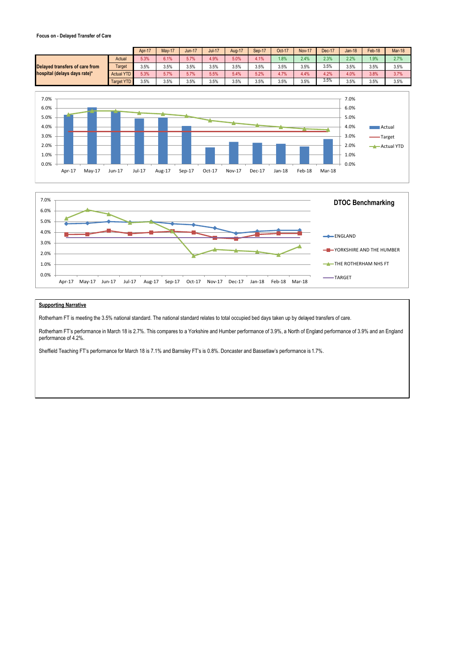## **Focus on - Delayed Transfer of Care**

|                                |                   | Apr-17 | <b>May-17</b> | <b>Jun-17</b> | $Jul-17$ | <b>Aug-17</b> | Sep-17 | Oct-17 | <b>Nov-17</b> | Dec-17 | Jan-18 | Feb-18 | <b>Mar-18</b> |
|--------------------------------|-------------------|--------|---------------|---------------|----------|---------------|--------|--------|---------------|--------|--------|--------|---------------|
|                                | Actual            | 5.3%   | 6.1%          | 5.7%          | 4.9%     | 5.0%          | 4.1%   | .8%    | 2.4%          | 2.3%   | 2.2%   | 1.9%   | 2.7%          |
| Delaved transfers of care from | Target            | 3.5%   | 3.5%          | 3.5%          | 3.5%     | 3.5%          | 3.5%   | 3.5%   | 3.5%          | 3.5%   | 3.5%   | 3.5%   | 3.5%          |
| hospital (delays days rate)*   | <b>Actual YTD</b> | 5.3%   | 5.7%          | 5.7%          | 5.5%     | 5.4%          | 5.2%   | 4.7%   | 4.4%          | 4.2%   | 4.0%   | 3.8%   | 3.7%          |
|                                | Target YTD        | 3.5%   | 3.5%          | 3.5%          | 3.5%     | 3.5%          | 3.5%   | 3.5%   | 3.5%          | 3.5%   | 3.5%   | 3.5%   | 3.5%          |
|                                |                   |        |               |               |          |               |        |        |               |        |        |        |               |





# **Supporting Narrative**

Rotherham FT is meeting the 3.5% national standard. The national standard relates to total occupied bed days taken up by delayed transfers of care.

Rotherham FT's performance in March 18 is 2.7%. This compares to a Yorkshire and Humber performance of 3.9%, a North of England performance of 3.9% and an England performance of 4.2%.

Sheffield Teaching FT's performance for March 18 is 7.1% and Barnsley FT's is 0.8%. Doncaster and Bassetlaw's performance is 1.7%.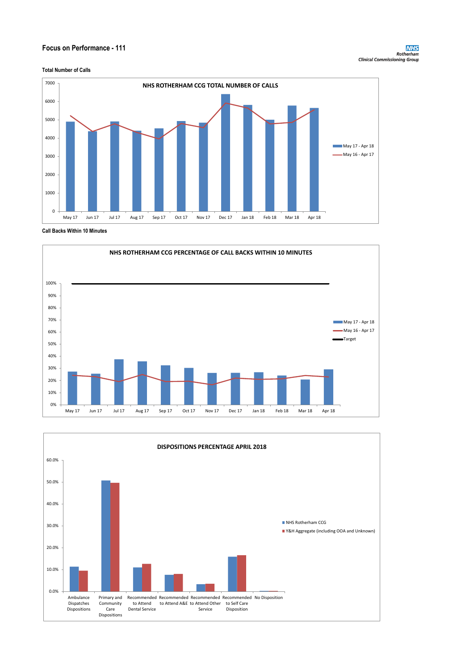# **Focus on Performance - 111**



**Call Backs Within 10 Minutes**